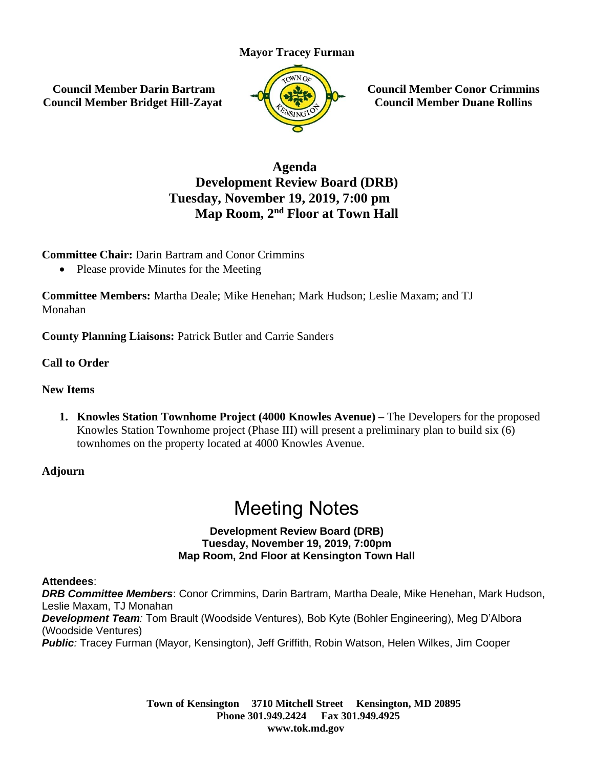### **Mayor Tracey Furman**

**Council Member Darin Bartram Council Member Bridget Hill-Zayat**



**Council Member Conor Crimmins Council Member Duane Rollins**

## **Agenda Development Review Board (DRB) Tuesday, November 19, 2019, 7:00 pm Map Room, 2nd Floor at Town Hall**

**Committee Chair:** Darin Bartram and Conor Crimmins

• Please provide Minutes for the Meeting

**Committee Members:** Martha Deale; Mike Henehan; Mark Hudson; Leslie Maxam; and TJ Monahan

**County Planning Liaisons:** Patrick Butler and Carrie Sanders

**Call to Order**

### **New Items**

**1. Knowles Station Townhome Project (4000 Knowles Avenue) –** The Developers for the proposed Knowles Station Townhome project (Phase III) will present a preliminary plan to build six (6) townhomes on the property located at 4000 Knowles Avenue.

**Adjourn**

# Meeting Notes

#### **Development Review Board (DRB) Tuesday, November 19, 2019, 7:00pm Map Room, 2nd Floor at Kensington Town Hall**

### **Attendees**:

*DRB Committee Members*: Conor Crimmins, Darin Bartram, Martha Deale, Mike Henehan, Mark Hudson, Leslie Maxam, TJ Monahan *Development Team:* Tom Brault (Woodside Ventures), Bob Kyte (Bohler Engineering), Meg D'Albora (Woodside Ventures) *Public:* Tracey Furman (Mayor, Kensington), Jeff Griffith, Robin Watson, Helen Wilkes, Jim Cooper

> **Town of Kensington 3710 Mitchell Street Kensington, MD 20895 Phone 301.949.2424 Fax 301.949.4925 www.tok.md.gov**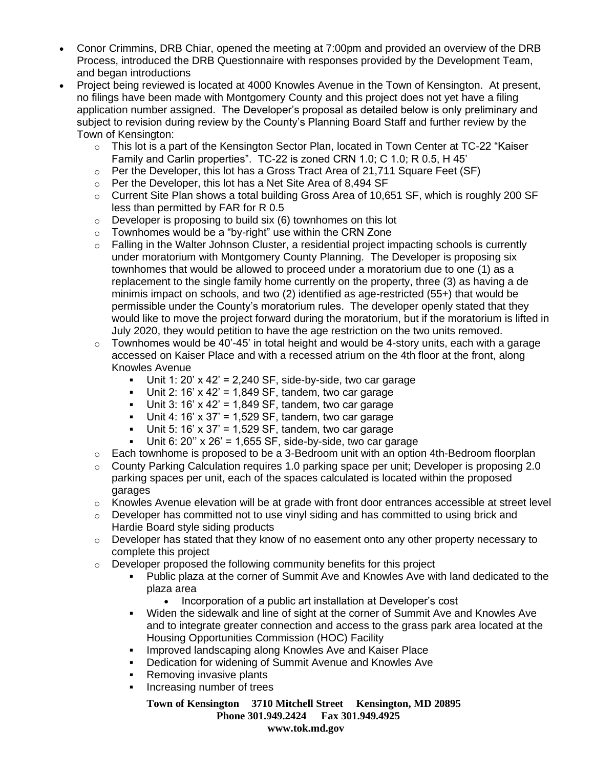- Conor Crimmins, DRB Chiar, opened the meeting at 7:00pm and provided an overview of the DRB Process, introduced the DRB Questionnaire with responses provided by the Development Team, and began introductions
- Project being reviewed is located at 4000 Knowles Avenue in the Town of Kensington. At present, no filings have been made with Montgomery County and this project does not yet have a filing application number assigned. The Developer's proposal as detailed below is only preliminary and subject to revision during review by the County's Planning Board Staff and further review by the Town of Kensington:
	- $\circ$  This lot is a part of the Kensington Sector Plan, located in Town Center at TC-22 "Kaiser Family and Carlin properties". TC-22 is zoned CRN 1.0; C 1.0; R 0.5, H 45'
	- o Per the Developer, this lot has a Gross Tract Area of 21,711 Square Feet (SF)
	- o Per the Developer, this lot has a Net Site Area of 8,494 SF
	- $\circ$  Current Site Plan shows a total building Gross Area of 10,651 SF, which is roughly 200 SF less than permitted by FAR for R 0.5
	- $\circ$  Developer is proposing to build six (6) townhomes on this lot
	- Townhomes would be a "by-right" use within the CRN Zone
	- $\circ$  Falling in the Walter Johnson Cluster, a residential project impacting schools is currently under moratorium with Montgomery County Planning. The Developer is proposing six townhomes that would be allowed to proceed under a moratorium due to one (1) as a replacement to the single family home currently on the property, three (3) as having a de minimis impact on schools, and two (2) identified as age-restricted (55+) that would be permissible under the County's moratorium rules. The developer openly stated that they would like to move the project forward during the moratorium, but if the moratorium is lifted in July 2020, they would petition to have the age restriction on the two units removed.
	- $\circ$  Townhomes would be 40'-45' in total height and would be 4-story units, each with a garage accessed on Kaiser Place and with a recessed atrium on the 4th floor at the front, along Knowles Avenue
		- **Unit 1: 20' x 42' = 2,240 SF, side-by-side, two car garage**
		- **•** Unit 2: 16' x 42' = 1,849 SF, tandem, two car garage
		- **Unit 3: 16' x 42' = 1,849 SF, tandem, two car garage**
		- **Unit 4: 16' x 37' = 1,529 SF, tandem, two car garage**
		- **Unit 5: 16' x 37' = 1,529 SF, tandem, two car garage**
		- Unit 6: 20"  $\times$  26' = 1,655 SF, side-by-side, two car garage
	- $\circ$  Each townhome is proposed to be a 3-Bedroom unit with an option 4th-Bedroom floorplan
	- $\circ$  County Parking Calculation requires 1.0 parking space per unit; Developer is proposing 2.0 parking spaces per unit, each of the spaces calculated is located within the proposed garages
	- $\circ$  Knowles Avenue elevation will be at grade with front door entrances accessible at street level
	- $\circ$  Developer has committed not to use vinyl siding and has committed to using brick and Hardie Board style siding products
	- o Developer has stated that they know of no easement onto any other property necessary to complete this project
	- $\circ$  Developer proposed the following community benefits for this project
		- Public plaza at the corner of Summit Ave and Knowles Ave with land dedicated to the plaza area
			- Incorporation of a public art installation at Developer's cost
		- Widen the sidewalk and line of sight at the corner of Summit Ave and Knowles Ave and to integrate greater connection and access to the grass park area located at the Housing Opportunities Commission (HOC) Facility
		- **EXEDENT Improved landscaping along Knowles Ave and Kaiser Place**
		- **Dedication for widening of Summit Avenue and Knowles Ave**
		- Removing invasive plants
		- Increasing number of trees

**Town of Kensington 3710 Mitchell Street Kensington, MD 20895 Phone 301.949.2424 Fax 301.949.4925 www.tok.md.gov**